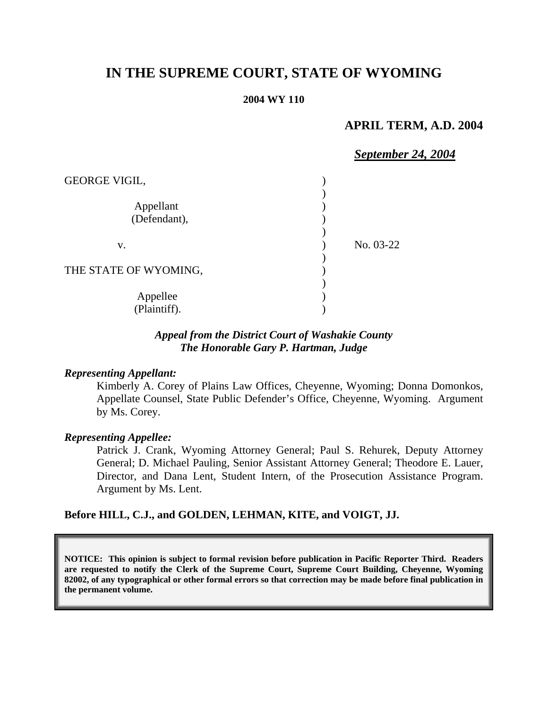# **IN THE SUPREME COURT, STATE OF WYOMING**

#### **2004 WY 110**

### **APRIL TERM, A.D. 2004**

# *September 24, 2004*

| <b>GEORGE VIGIL,</b>      |           |
|---------------------------|-----------|
| Appellant<br>(Defendant), |           |
| V.                        | No. 03-22 |
| THE STATE OF WYOMING,     |           |
| Appellee<br>(Plaintiff).  |           |

### *Appeal from the District Court of Washakie County The Honorable Gary P. Hartman, Judge*

#### *Representing Appellant:*

Kimberly A. Corey of Plains Law Offices, Cheyenne, Wyoming; Donna Domonkos, Appellate Counsel, State Public Defender's Office, Cheyenne, Wyoming. Argument by Ms. Corey.

#### *Representing Appellee:*

Patrick J. Crank, Wyoming Attorney General; Paul S. Rehurek, Deputy Attorney General; D. Michael Pauling, Senior Assistant Attorney General; Theodore E. Lauer, Director, and Dana Lent, Student Intern, of the Prosecution Assistance Program. Argument by Ms. Lent.

#### **Before HILL, C.J., and GOLDEN, LEHMAN, KITE, and VOIGT, JJ.**

**NOTICE: This opinion is subject to formal revision before publication in Pacific Reporter Third. Readers are requested to notify the Clerk of the Supreme Court, Supreme Court Building, Cheyenne, Wyoming 82002, of any typographical or other formal errors so that correction may be made before final publication in the permanent volume.**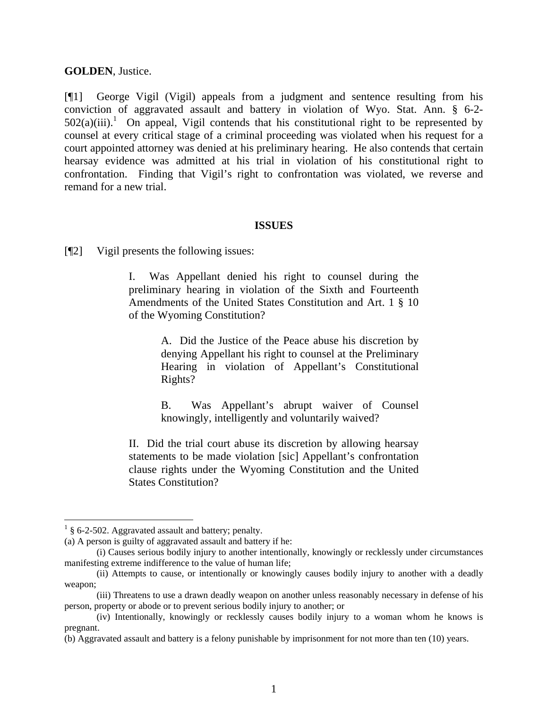#### **GOLDEN**, Justice.

[¶1] George Vigil (Vigil) appeals from a judgment and sentence resulting from his conviction of aggravated assault and battery in violation of Wyo. Stat. Ann. § 6-2-  $502(a)(iii)$ .<sup>1</sup> On appeal, Vigil contends that his constitutional right to be represented by counsel at every critical stage of a criminal proceeding was violated when his request for a court appointed attorney was denied at his preliminary hearing. He also contends that certain hearsay evidence was admitted at his trial in violation of his constitutional right to confrontation. Finding that Vigil's right to confrontation was violated, we reverse and remand for a new trial.

#### **ISSUES**

[¶2] Vigil presents the following issues:

I. Was Appellant denied his right to counsel during the preliminary hearing in violation of the Sixth and Fourteenth Amendments of the United States Constitution and Art. 1 § 10 of the Wyoming Constitution?

> A. Did the Justice of the Peace abuse his discretion by denying Appellant his right to counsel at the Preliminary Hearing in violation of Appellant's Constitutional Rights?

> B. Was Appellant's abrupt waiver of Counsel knowingly, intelligently and voluntarily waived?

II. Did the trial court abuse its discretion by allowing hearsay statements to be made violation [sic] Appellant's confrontation clause rights under the Wyoming Constitution and the United States Constitution?

 $1\,$  § 6-2-502. Aggravated assault and battery; penalty.

<sup>(</sup>a) A person is guilty of aggravated assault and battery if he:

<sup>(</sup>i) Causes serious bodily injury to another intentionally, knowingly or recklessly under circumstances manifesting extreme indifference to the value of human life;

<sup>(</sup>ii) Attempts to cause, or intentionally or knowingly causes bodily injury to another with a deadly weapon;

<sup>(</sup>iii) Threatens to use a drawn deadly weapon on another unless reasonably necessary in defense of his person, property or abode or to prevent serious bodily injury to another; or

<sup>(</sup>iv) Intentionally, knowingly or recklessly causes bodily injury to a woman whom he knows is pregnant.

<sup>(</sup>b) Aggravated assault and battery is a felony punishable by imprisonment for not more than ten (10) years.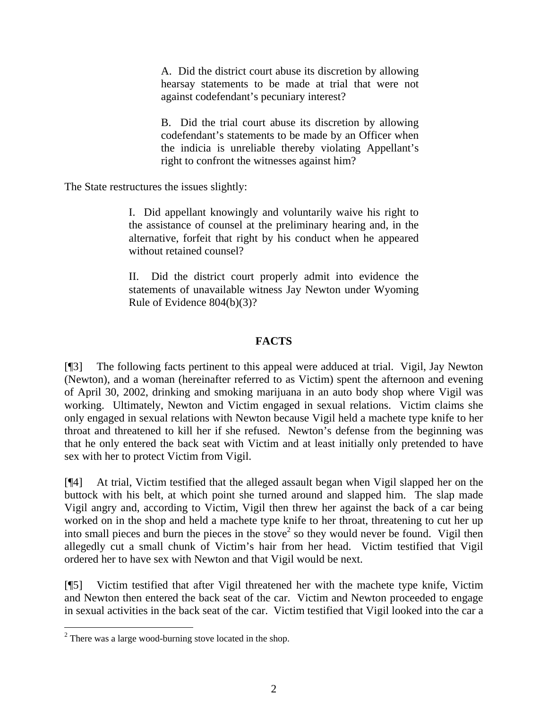A. Did the district court abuse its discretion by allowing hearsay statements to be made at trial that were not against codefendant's pecuniary interest?

B. Did the trial court abuse its discretion by allowing codefendant's statements to be made by an Officer when the indicia is unreliable thereby violating Appellant's right to confront the witnesses against him?

The State restructures the issues slightly:

I. Did appellant knowingly and voluntarily waive his right to the assistance of counsel at the preliminary hearing and, in the alternative, forfeit that right by his conduct when he appeared without retained counsel?

II. Did the district court properly admit into evidence the statements of unavailable witness Jay Newton under Wyoming Rule of Evidence 804(b)(3)?

# **FACTS**

[¶3] The following facts pertinent to this appeal were adduced at trial. Vigil, Jay Newton (Newton), and a woman (hereinafter referred to as Victim) spent the afternoon and evening of April 30, 2002, drinking and smoking marijuana in an auto body shop where Vigil was working. Ultimately, Newton and Victim engaged in sexual relations. Victim claims she only engaged in sexual relations with Newton because Vigil held a machete type knife to her throat and threatened to kill her if she refused. Newton's defense from the beginning was that he only entered the back seat with Victim and at least initially only pretended to have sex with her to protect Victim from Vigil.

[¶4] At trial, Victim testified that the alleged assault began when Vigil slapped her on the buttock with his belt, at which point she turned around and slapped him. The slap made Vigil angry and, according to Victim, Vigil then threw her against the back of a car being worked on in the shop and held a machete type knife to her throat, threatening to cut her up into small pieces and burn the pieces in the stove<sup>2</sup> so they would never be found. Vigil then allegedly cut a small chunk of Victim's hair from her head. Victim testified that Vigil ordered her to have sex with Newton and that Vigil would be next.

[¶5] Victim testified that after Vigil threatened her with the machete type knife, Victim and Newton then entered the back seat of the car. Victim and Newton proceeded to engage in sexual activities in the back seat of the car. Victim testified that Vigil looked into the car a

 $2^2$  There was a large wood-burning stove located in the shop.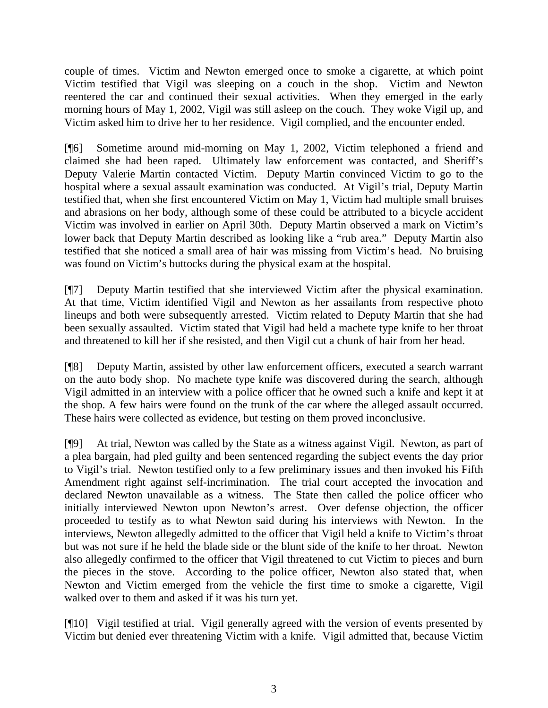couple of times. Victim and Newton emerged once to smoke a cigarette, at which point Victim testified that Vigil was sleeping on a couch in the shop. Victim and Newton reentered the car and continued their sexual activities. When they emerged in the early morning hours of May 1, 2002, Vigil was still asleep on the couch. They woke Vigil up, and Victim asked him to drive her to her residence. Vigil complied, and the encounter ended.

[¶6] Sometime around mid-morning on May 1, 2002, Victim telephoned a friend and claimed she had been raped. Ultimately law enforcement was contacted, and Sheriff's Deputy Valerie Martin contacted Victim. Deputy Martin convinced Victim to go to the hospital where a sexual assault examination was conducted. At Vigil's trial, Deputy Martin testified that, when she first encountered Victim on May 1, Victim had multiple small bruises and abrasions on her body, although some of these could be attributed to a bicycle accident Victim was involved in earlier on April 30th. Deputy Martin observed a mark on Victim's lower back that Deputy Martin described as looking like a "rub area." Deputy Martin also testified that she noticed a small area of hair was missing from Victim's head. No bruising was found on Victim's buttocks during the physical exam at the hospital.

[¶7] Deputy Martin testified that she interviewed Victim after the physical examination. At that time, Victim identified Vigil and Newton as her assailants from respective photo lineups and both were subsequently arrested. Victim related to Deputy Martin that she had been sexually assaulted. Victim stated that Vigil had held a machete type knife to her throat and threatened to kill her if she resisted, and then Vigil cut a chunk of hair from her head.

[¶8] Deputy Martin, assisted by other law enforcement officers, executed a search warrant on the auto body shop. No machete type knife was discovered during the search, although Vigil admitted in an interview with a police officer that he owned such a knife and kept it at the shop. A few hairs were found on the trunk of the car where the alleged assault occurred. These hairs were collected as evidence, but testing on them proved inconclusive.

[¶9] At trial, Newton was called by the State as a witness against Vigil. Newton, as part of a plea bargain, had pled guilty and been sentenced regarding the subject events the day prior to Vigil's trial. Newton testified only to a few preliminary issues and then invoked his Fifth Amendment right against self-incrimination. The trial court accepted the invocation and declared Newton unavailable as a witness. The State then called the police officer who initially interviewed Newton upon Newton's arrest. Over defense objection, the officer proceeded to testify as to what Newton said during his interviews with Newton. In the interviews, Newton allegedly admitted to the officer that Vigil held a knife to Victim's throat but was not sure if he held the blade side or the blunt side of the knife to her throat. Newton also allegedly confirmed to the officer that Vigil threatened to cut Victim to pieces and burn the pieces in the stove. According to the police officer, Newton also stated that, when Newton and Victim emerged from the vehicle the first time to smoke a cigarette, Vigil walked over to them and asked if it was his turn yet.

[¶10] Vigil testified at trial. Vigil generally agreed with the version of events presented by Victim but denied ever threatening Victim with a knife. Vigil admitted that, because Victim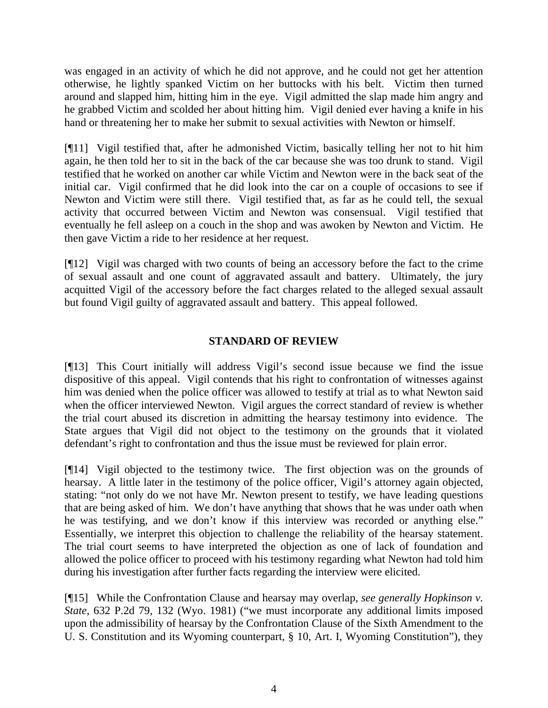was engaged in an activity of which he did not approve, and he could not get her attention otherwise, he lightly spanked Victim on her buttocks with his belt. Victim then turned around and slapped him, hitting him in the eye. Vigil admitted the slap made him angry and he grabbed Victim and scolded her about hitting him. Vigil denied ever having a knife in his hand or threatening her to make her submit to sexual activities with Newton or himself.

[¶11] Vigil testified that, after he admonished Victim, basically telling her not to hit him again, he then told her to sit in the back of the car because she was too drunk to stand. Vigil testified that he worked on another car while Victim and Newton were in the back seat of the initial car. Vigil confirmed that he did look into the car on a couple of occasions to see if Newton and Victim were still there. Vigil testified that, as far as he could tell, the sexual activity that occurred between Victim and Newton was consensual. Vigil testified that eventually he fell asleep on a couch in the shop and was awoken by Newton and Victim. He then gave Victim a ride to her residence at her request.

[¶12] Vigil was charged with two counts of being an accessory before the fact to the crime of sexual assault and one count of aggravated assault and battery. Ultimately, the jury acquitted Vigil of the accessory before the fact charges related to the alleged sexual assault but found Vigil guilty of aggravated assault and battery. This appeal followed.

# **STANDARD OF REVIEW**

[¶13] This Court initially will address Vigil's second issue because we find the issue dispositive of this appeal. Vigil contends that his right to confrontation of witnesses against him was denied when the police officer was allowed to testify at trial as to what Newton said when the officer interviewed Newton. Vigil argues the correct standard of review is whether the trial court abused its discretion in admitting the hearsay testimony into evidence. The State argues that Vigil did not object to the testimony on the grounds that it violated defendant's right to confrontation and thus the issue must be reviewed for plain error.

[¶14] Vigil objected to the testimony twice. The first objection was on the grounds of hearsay. A little later in the testimony of the police officer, Vigil's attorney again objected, stating: "not only do we not have Mr. Newton present to testify, we have leading questions that are being asked of him. We don't have anything that shows that he was under oath when he was testifying, and we don't know if this interview was recorded or anything else." Essentially, we interpret this objection to challenge the reliability of the hearsay statement. The trial court seems to have interpreted the objection as one of lack of foundation and allowed the police officer to proceed with his testimony regarding what Newton had told him during his investigation after further facts regarding the interview were elicited.

[¶15] While the Confrontation Clause and hearsay may overlap, *see generally Hopkinson v. State*, 632 P.2d 79, 132 (Wyo. 1981) ("we must incorporate any additional limits imposed upon the admissibility of hearsay by the Confrontation Clause of the Sixth Amendment to the U. S. Constitution and its Wyoming counterpart, § 10, Art. I, Wyoming Constitution"), they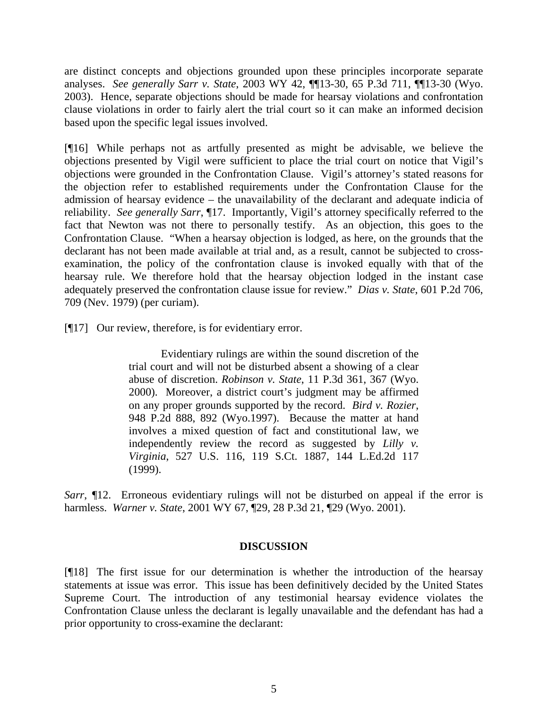are distinct concepts and objections grounded upon these principles incorporate separate analyses. *See generally Sarr v. State*, 2003 WY 42, ¶¶13-30, 65 P.3d 711, ¶¶13-30 (Wyo. 2003). Hence, separate objections should be made for hearsay violations and confrontation clause violations in order to fairly alert the trial court so it can make an informed decision based upon the specific legal issues involved.

[¶16] While perhaps not as artfully presented as might be advisable, we believe the objections presented by Vigil were sufficient to place the trial court on notice that Vigil's objections were grounded in the Confrontation Clause. Vigil's attorney's stated reasons for the objection refer to established requirements under the Confrontation Clause for the admission of hearsay evidence – the unavailability of the declarant and adequate indicia of reliability. *See generally Sarr*, ¶17. Importantly, Vigil's attorney specifically referred to the fact that Newton was not there to personally testify. As an objection, this goes to the Confrontation Clause. "When a hearsay objection is lodged, as here, on the grounds that the declarant has not been made available at trial and, as a result, cannot be subjected to crossexamination, the policy of the confrontation clause is invoked equally with that of the hearsay rule. We therefore hold that the hearsay objection lodged in the instant case adequately preserved the confrontation clause issue for review." *Dias v. State*, 601 P.2d 706, 709 (Nev. 1979) (per curiam).

[¶17] Our review, therefore, is for evidentiary error.

Evidentiary rulings are within the sound discretion of the trial court and will not be disturbed absent a showing of a clear abuse of discretion. *Robinson v. State*, 11 P.3d 361, 367 (Wyo. 2000). Moreover, a district court's judgment may be affirmed on any proper grounds supported by the record. *Bird v. Rozier*, 948 P.2d 888, 892 (Wyo.1997). Because the matter at hand involves a mixed question of fact and constitutional law, we independently review the record as suggested by *Lilly v. Virginia*, 527 U.S. 116, 119 S.Ct. 1887, 144 L.Ed.2d 117 (1999).

*Sarr*,  $\P$ 12. Erroneous evidentiary rulings will not be disturbed on appeal if the error is harmless. *Warner v. State*, 2001 WY 67, ¶29, 28 P.3d 21, ¶29 (Wyo. 2001).

### **DISCUSSION**

[¶18] The first issue for our determination is whether the introduction of the hearsay statements at issue was error. This issue has been definitively decided by the United States Supreme Court. The introduction of any testimonial hearsay evidence violates the Confrontation Clause unless the declarant is legally unavailable and the defendant has had a prior opportunity to cross-examine the declarant: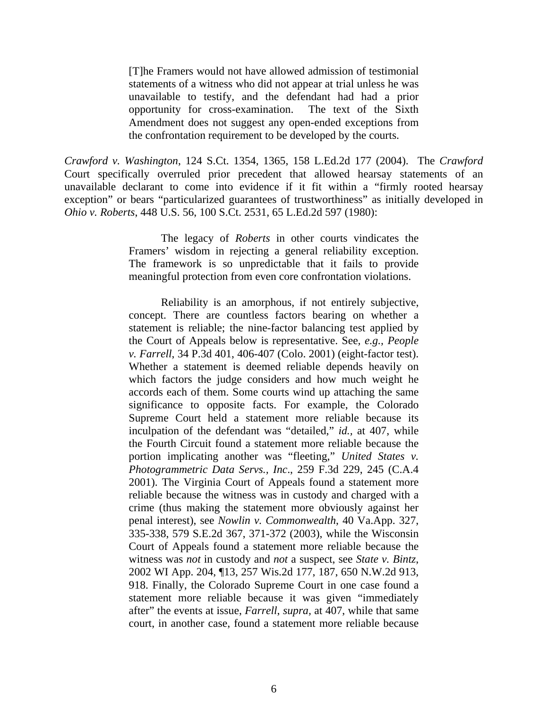[T]he Framers would not have allowed admission of testimonial statements of a witness who did not appear at trial unless he was unavailable to testify, and the defendant had had a prior opportunity for cross-examination. The text of the Sixth Amendment does not suggest any open-ended exceptions from the confrontation requirement to be developed by the courts.

*Crawford v. Washington*, 124 S.Ct. 1354, 1365, 158 L.Ed.2d 177 (2004). The *Crawford* Court specifically overruled prior precedent that allowed hearsay statements of an unavailable declarant to come into evidence if it fit within a "firmly rooted hearsay exception" or bears "particularized guarantees of trustworthiness" as initially developed in *Ohio v. Roberts*, 448 U.S. 56, 100 S.Ct. 2531, 65 L.Ed.2d 597 (1980):

> The legacy of *Roberts* in other courts vindicates the Framers' wisdom in rejecting a general reliability exception. The framework is so unpredictable that it fails to provide meaningful protection from even core confrontation violations.

> Reliability is an amorphous, if not entirely subjective, concept. There are countless factors bearing on whether a statement is reliable; the nine-factor balancing test applied by the Court of Appeals below is representative. See*, e.g., People v. Farrell*, 34 P.3d 401, 406-407 (Colo. 2001) (eight-factor test). Whether a statement is deemed reliable depends heavily on which factors the judge considers and how much weight he accords each of them. Some courts wind up attaching the same significance to opposite facts. For example, the Colorado Supreme Court held a statement more reliable because its inculpation of the defendant was "detailed," *id.,* at 407, while the Fourth Circuit found a statement more reliable because the portion implicating another was "fleeting," *United States v. Photogrammetric Data Servs., Inc*., 259 F.3d 229, 245 (C.A.4 2001). The Virginia Court of Appeals found a statement more reliable because the witness was in custody and charged with a crime (thus making the statement more obviously against her penal interest), see *Nowlin v. Commonwealth*, 40 Va.App. 327, 335-338, 579 S.E.2d 367, 371-372 (2003), while the Wisconsin Court of Appeals found a statement more reliable because the witness was *not* in custody and *not* a suspect, see *State v. Bintz*, 2002 WI App. 204, ¶13, 257 Wis.2d 177, 187, 650 N.W.2d 913, 918. Finally, the Colorado Supreme Court in one case found a statement more reliable because it was given "immediately after" the events at issue, *Farrell*, *supra,* at 407, while that same court, in another case, found a statement more reliable because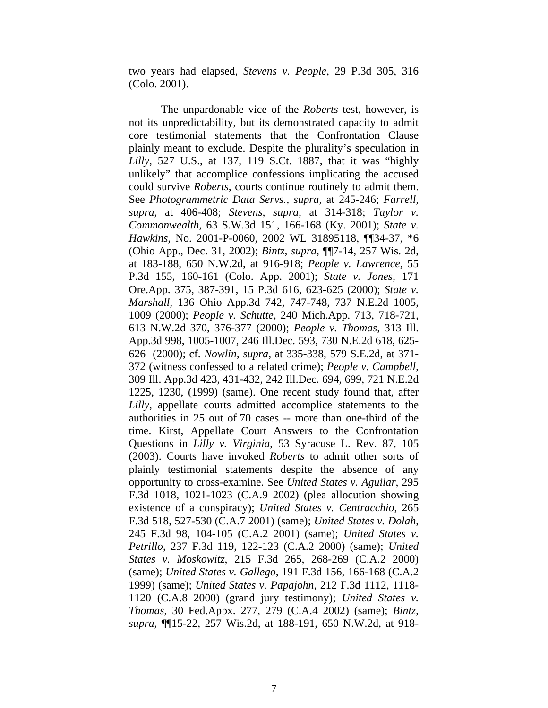two years had elapsed, *Stevens v. People*, 29 P.3d 305, 316 (Colo. 2001).

The unpardonable vice of the *Roberts* test, however, is not its unpredictability, but its demonstrated capacity to admit core testimonial statements that the Confrontation Clause plainly meant to exclude. Despite the plurality's speculation in *Lilly*, 527 U.S., at 137, 119 S.Ct. 1887, that it was "highly unlikely" that accomplice confessions implicating the accused could survive *Roberts*, courts continue routinely to admit them. See *Photogrammetric Data Servs., supra,* at 245-246; *Farrell, supra*, at 406-408; *Stevens, supra*, at 314-318; *Taylor v. Commonwealth,* 63 S.W.3d 151, 166-168 (Ky. 2001); *State v. Hawkins,* No. 2001-P-0060, 2002 WL 31895118, ¶¶34-37, \*6 (Ohio App., Dec. 31, 2002); *Bintz, supra,* ¶¶7-14, 257 Wis. 2d, at 183-188, 650 N.W.2d, at 916-918; *People v. Lawrence,* 55 P.3d 155, 160-161 (Colo. App. 2001); *State v. Jones,* 171 Ore.App. 375, 387-391, 15 P.3d 616, 623-625 (2000); *State v. Marshall,* 136 Ohio App.3d 742, 747-748, 737 N.E.2d 1005, 1009 (2000); *People v. Schutte,* 240 Mich.App. 713, 718-721, 613 N.W.2d 370, 376-377 (2000); *People v. Thomas,* 313 Ill. App.3d 998, 1005-1007, 246 Ill.Dec. 593, 730 N.E.2d 618, 625- 626 (2000); cf. *Nowlin, supra,* at 335-338, 579 S.E.2d, at 371- 372 (witness confessed to a related crime); *People v. Campbell*, 309 Ill. App.3d 423, 431-432, 242 Ill.Dec. 694, 699, 721 N.E.2d 1225, 1230, (1999) (same). One recent study found that, after *Lilly*, appellate courts admitted accomplice statements to the authorities in 25 out of 70 cases -- more than one-third of the time. Kirst, Appellate Court Answers to the Confrontation Questions in *Lilly v. Virginia*, 53 Syracuse L. Rev. 87, 105 (2003). Courts have invoked *Roberts* to admit other sorts of plainly testimonial statements despite the absence of any opportunity to cross-examine. See *United States v. Aguilar*, 295 F.3d 1018, 1021-1023 (C.A.9 2002) (plea allocution showing existence of a conspiracy); *United States v. Centracchio*, 265 F.3d 518, 527-530 (C.A.7 2001) (same); *United States v. Dolah*, 245 F.3d 98, 104-105 (C.A.2 2001) (same); *United States v. Petrillo*, 237 F.3d 119, 122-123 (C.A.2 2000) (same); *United States v. Moskowitz*, 215 F.3d 265, 268-269 (C.A.2 2000) (same); *United States v. Gallego*, 191 F.3d 156, 166-168 (C.A.2 1999) (same); *United States v. Papajohn*, 212 F.3d 1112, 1118- 1120 (C.A.8 2000) (grand jury testimony); *United States v. Thomas*, 30 Fed.Appx. 277, 279 (C.A.4 2002) (same); *Bintz*, *supra*, ¶¶15-22, 257 Wis.2d, at 188-191, 650 N.W.2d, at 918-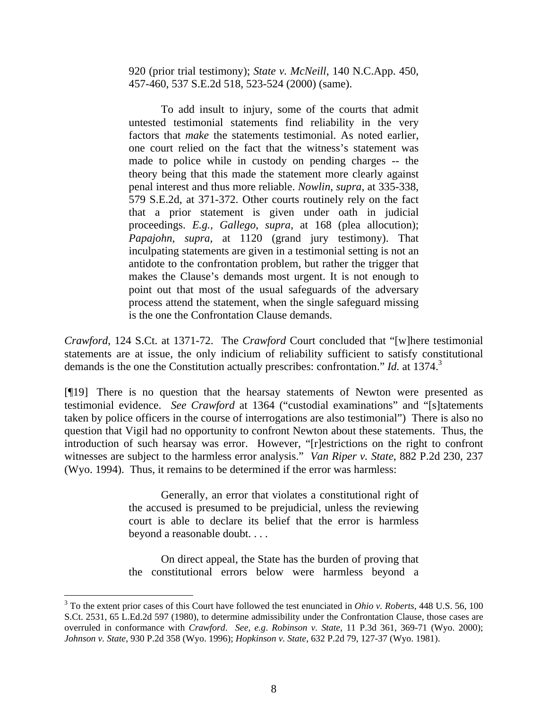920 (prior trial testimony); *State v. McNeill*, 140 N.C.App. 450, 457-460, 537 S.E.2d 518, 523-524 (2000) (same).

To add insult to injury, some of the courts that admit untested testimonial statements find reliability in the very factors that *make* the statements testimonial. As noted earlier, one court relied on the fact that the witness's statement was made to police while in custody on pending charges -- the theory being that this made the statement more clearly against penal interest and thus more reliable. *Nowlin*, *supra*, at 335-338, 579 S.E.2d, at 371-372. Other courts routinely rely on the fact that a prior statement is given under oath in judicial proceedings. *E.g., Gallego*, *supra,* at 168 (plea allocution); *Papajohn, supra,* at 1120 (grand jury testimony). That inculpating statements are given in a testimonial setting is not an antidote to the confrontation problem, but rather the trigger that makes the Clause's demands most urgent. It is not enough to point out that most of the usual safeguards of the adversary process attend the statement, when the single safeguard missing is the one the Confrontation Clause demands.

*Crawford*, 124 S.Ct. at 1371-72. The *Crawford* Court concluded that "[w]here testimonial statements are at issue, the only indicium of reliability sufficient to satisfy constitutional demands is the one the Constitution actually prescribes: confrontation." *Id.* at 1374.<sup>3</sup>

[¶19] There is no question that the hearsay statements of Newton were presented as testimonial evidence. *See Crawford* at 1364 ("custodial examinations" and "[s]tatements taken by police officers in the course of interrogations are also testimonial") There is also no question that Vigil had no opportunity to confront Newton about these statements. Thus, the introduction of such hearsay was error. However, "[r]estrictions on the right to confront witnesses are subject to the harmless error analysis." *Van Riper v. State*, 882 P.2d 230, 237 (Wyo. 1994). Thus, it remains to be determined if the error was harmless:

> Generally, an error that violates a constitutional right of the accused is presumed to be prejudicial, unless the reviewing court is able to declare its belief that the error is harmless beyond a reasonable doubt. . . .

> On direct appeal, the State has the burden of proving that the constitutional errors below were harmless beyond a

 $\overline{a}$ 

<sup>3</sup> To the extent prior cases of this Court have followed the test enunciated in *Ohio v. Roberts*, 448 U.S. 56, 100 S.Ct. 2531, 65 L.Ed.2d 597 (1980), to determine admissibility under the Confrontation Clause, those cases are overruled in conformance with *Crawford*. *See, e.g*. *Robinson v. State*, 11 P.3d 361, 369-71 (Wyo. 2000); *Johnson v. State*, 930 P.2d 358 (Wyo. 1996); *Hopkinson v. State*, 632 P.2d 79, 127-37 (Wyo. 1981).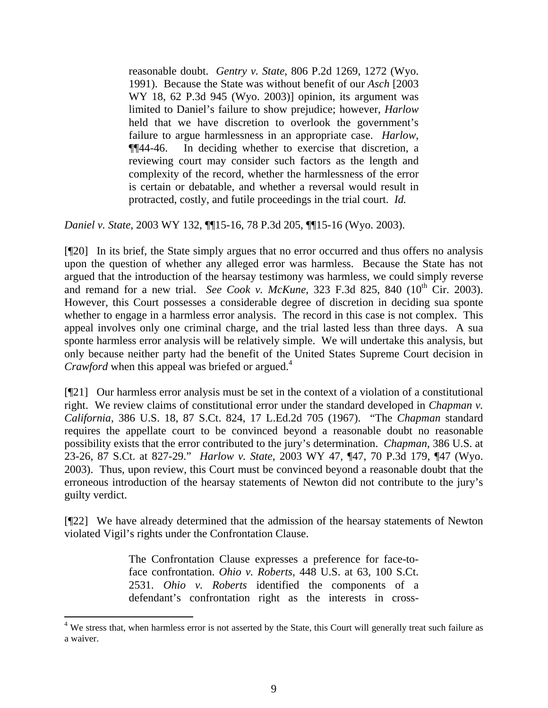reasonable doubt. *Gentry v. State*, 806 P.2d 1269, 1272 (Wyo. 1991). Because the State was without benefit of our *Asch* [2003 WY 18, 62 P.3d 945 (Wyo. 2003)] opinion, its argument was limited to Daniel's failure to show prejudice; however, *Harlow* held that we have discretion to overlook the government's failure to argue harmlessness in an appropriate case. *Harlow*, ¶¶44-46. In deciding whether to exercise that discretion, a reviewing court may consider such factors as the length and complexity of the record, whether the harmlessness of the error is certain or debatable, and whether a reversal would result in protracted, costly, and futile proceedings in the trial court. *Id.* 

*Daniel v. State*, 2003 WY 132, ¶¶15-16, 78 P.3d 205, ¶¶15-16 (Wyo. 2003).

[¶20] In its brief, the State simply argues that no error occurred and thus offers no analysis upon the question of whether any alleged error was harmless. Because the State has not argued that the introduction of the hearsay testimony was harmless, we could simply reverse and remand for a new trial. *See Cook v. McKune*, 323 F.3d 825, 840 (10<sup>th</sup> Cir. 2003). However, this Court possesses a considerable degree of discretion in deciding sua sponte whether to engage in a harmless error analysis. The record in this case is not complex. This appeal involves only one criminal charge, and the trial lasted less than three days. A sua sponte harmless error analysis will be relatively simple. We will undertake this analysis, but only because neither party had the benefit of the United States Supreme Court decision in *Crawford* when this appeal was briefed or argued.<sup>4</sup>

[¶21] Our harmless error analysis must be set in the context of a violation of a constitutional right. We review claims of constitutional error under the standard developed in *Chapman v. California*, 386 U.S. 18, 87 S.Ct. 824, 17 L.Ed.2d 705 (1967). "The *Chapman* standard requires the appellate court to be convinced beyond a reasonable doubt no reasonable possibility exists that the error contributed to the jury's determination. *Chapman*, 386 U.S. at 23-26, 87 S.Ct. at 827-29." *Harlow v. State*, 2003 WY 47, ¶47, 70 P.3d 179, ¶47 (Wyo. 2003). Thus, upon review, this Court must be convinced beyond a reasonable doubt that the erroneous introduction of the hearsay statements of Newton did not contribute to the jury's guilty verdict.

[¶22] We have already determined that the admission of the hearsay statements of Newton violated Vigil's rights under the Confrontation Clause.

> The Confrontation Clause expresses a preference for face-toface confrontation. *Ohio v. Roberts*, 448 U.S. at 63, 100 S.Ct. 2531. *Ohio v. Roberts* identified the components of a defendant's confrontation right as the interests in cross-

 $\overline{a}$ 

<sup>&</sup>lt;sup>4</sup> We stress that, when harmless error is not asserted by the State, this Court will generally treat such failure as a waiver.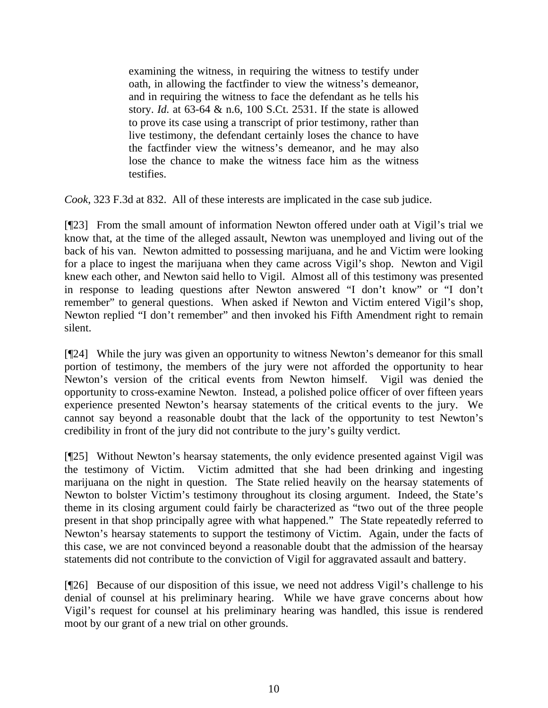examining the witness, in requiring the witness to testify under oath, in allowing the factfinder to view the witness's demeanor, and in requiring the witness to face the defendant as he tells his story. *Id.* at 63-64 & n.6, 100 S.Ct. 2531. If the state is allowed to prove its case using a transcript of prior testimony, rather than live testimony, the defendant certainly loses the chance to have the factfinder view the witness's demeanor, and he may also lose the chance to make the witness face him as the witness testifies.

*Cook*, 323 F.3d at 832. All of these interests are implicated in the case sub judice.

[¶23] From the small amount of information Newton offered under oath at Vigil's trial we know that, at the time of the alleged assault, Newton was unemployed and living out of the back of his van. Newton admitted to possessing marijuana, and he and Victim were looking for a place to ingest the marijuana when they came across Vigil's shop. Newton and Vigil knew each other, and Newton said hello to Vigil. Almost all of this testimony was presented in response to leading questions after Newton answered "I don't know" or "I don't remember" to general questions. When asked if Newton and Victim entered Vigil's shop, Newton replied "I don't remember" and then invoked his Fifth Amendment right to remain silent.

[¶24] While the jury was given an opportunity to witness Newton's demeanor for this small portion of testimony, the members of the jury were not afforded the opportunity to hear Newton's version of the critical events from Newton himself. Vigil was denied the opportunity to cross-examine Newton. Instead, a polished police officer of over fifteen years experience presented Newton's hearsay statements of the critical events to the jury. We cannot say beyond a reasonable doubt that the lack of the opportunity to test Newton's credibility in front of the jury did not contribute to the jury's guilty verdict.

[¶25] Without Newton's hearsay statements, the only evidence presented against Vigil was the testimony of Victim. Victim admitted that she had been drinking and ingesting marijuana on the night in question. The State relied heavily on the hearsay statements of Newton to bolster Victim's testimony throughout its closing argument. Indeed, the State's theme in its closing argument could fairly be characterized as "two out of the three people present in that shop principally agree with what happened." The State repeatedly referred to Newton's hearsay statements to support the testimony of Victim. Again, under the facts of this case, we are not convinced beyond a reasonable doubt that the admission of the hearsay statements did not contribute to the conviction of Vigil for aggravated assault and battery.

[¶26] Because of our disposition of this issue, we need not address Vigil's challenge to his denial of counsel at his preliminary hearing. While we have grave concerns about how Vigil's request for counsel at his preliminary hearing was handled, this issue is rendered moot by our grant of a new trial on other grounds.